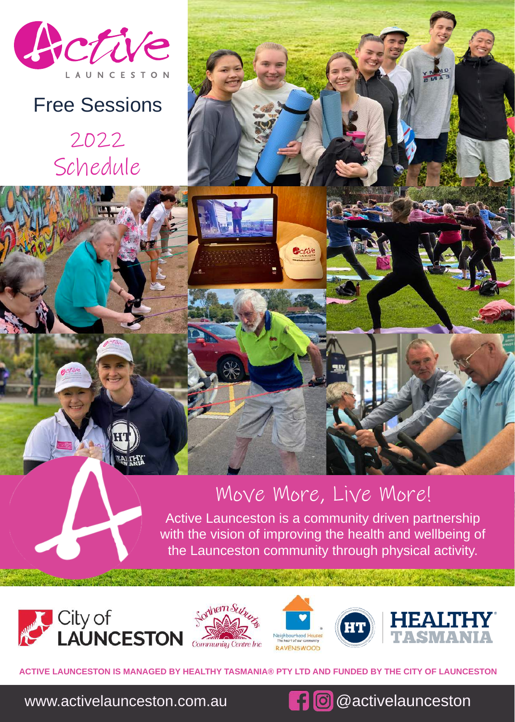

## Free Sessions

2022 Schedule



Cotive

Active Launceston is a community driven partnership with the vision of improving the health and wellbeing of the Launceston community through physical activity.









**HEALTHY TASMANIA® PTY LTD AND FUNDED BY THE CITY OF LAUNCESTON** 

www.activelaunceston.com.au **@activelaunceston**